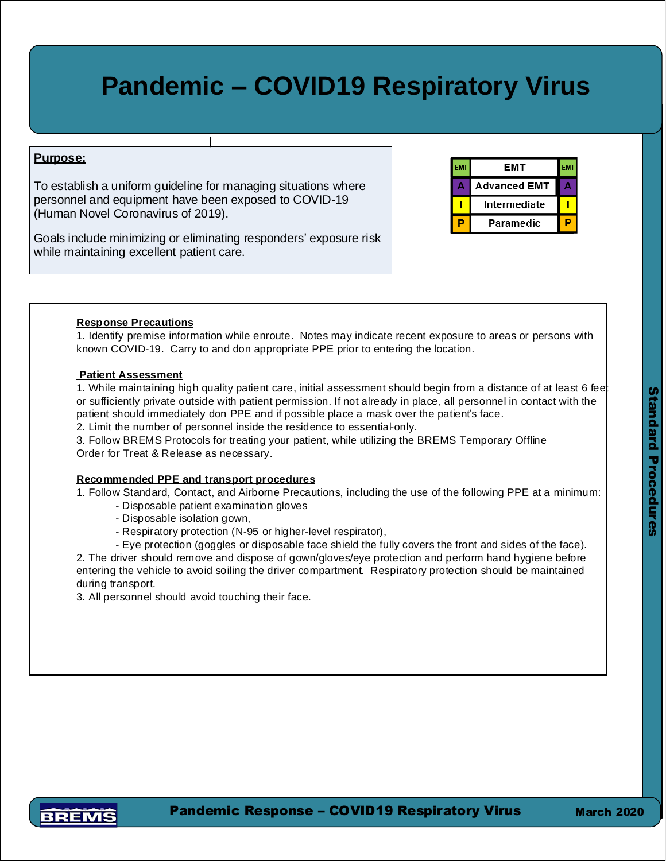# **Pandemic – COVID19 Respiratory Virus**

## **Purpose:**

To establish a uniform guideline for managing situations where personnel and equipment have been exposed to COVID-19 (Human Novel Coronavirus of 2019).

Goals include minimizing or eliminating responders' exposure risk while maintaining excellent patient care.

| EMT                 |  |
|---------------------|--|
| <b>Advanced EMT</b> |  |
| Intermediate        |  |
| Paramedic           |  |

### **Response Precautions**

1. Identify premise information while enroute. Dispatch notes may indicate recent exposure to areas or persons with known COVID-19. Don appropriate PPE prior to entering the location.

#### **Patient Assessment**

1. While maintaining high quality patient care, initial assessment should begin from a distance of at least 6 feet or if sufficiently private, outside with patient permission. If not already in place, all personnel in contact with the patient should immediately don PPE and if possible place a mask over the patient's face. 2. Limit the number of personnel inside the residence to essential-only.

3. Follow BREMS Protocols for treating your patient, to include the BREMS Temporary Offline Order for Treat & Release as necessary.

#### **Recommended PPE and transport procedures**

1. Follow Standard, Contact, and Airborne Precautions, including the use of the following PPE at a minimum:

- Disposable patient examination gloves
- Disposable isolation gown,
- Respiratory protection (N-95 or higher-level respirator),
- Eye protection (goggles or disposable face shield) that fully covers the front and sides of the face.

2. The driver should remove and dispose of gown/gloves/eye protection and perform hand hygiene before entering the vehicle to avoid soiling the driver compartment. Respiratory protection should be maintained during transport. Alternately, full PPE may be maintained but driver's compartment must be deconed prior to returning to service. Safe vehicle operation should continue to be a priority.

3. All personnel should avoid touching their face.



Pandemic Response – COVID19 Respiratory Virus

March 2020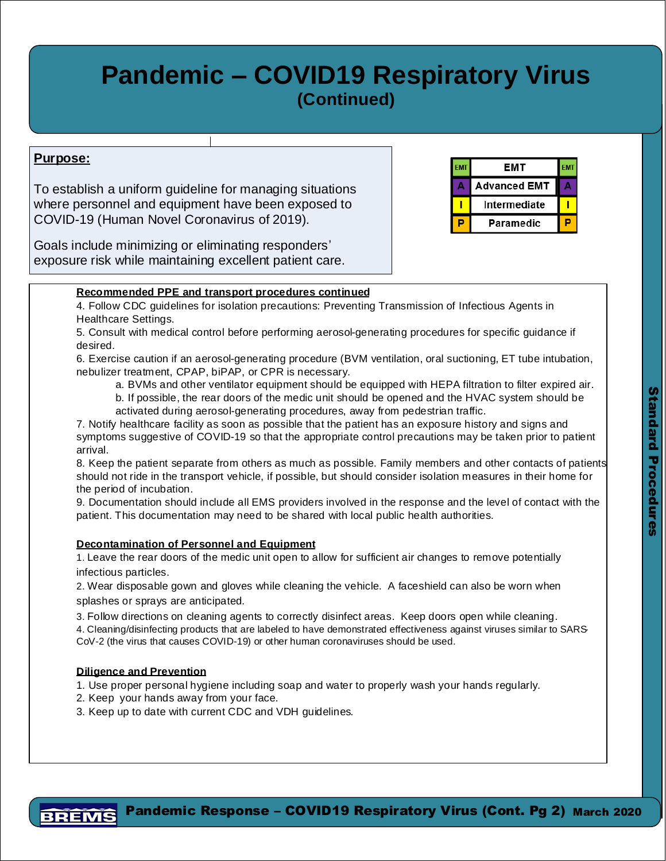# **Pandemic – COVID19 Respiratory Virus (Continued)**

## **Purpose:**

To establish a uniform guideline for managing situations where personnel and equipment have been exposed to COVID-19 (Human Novel Coronavirus of 2019).

Goals include minimizing or eliminating responders' exposure risk while maintaining excellent patient care.

#### **EMT EMT** EMT **Advanced EMT Intermediate** Т P **Paramedic**

## **Recommended PPE and transport procedures continued**

4. Follow CDC guidelines for isolation precautions: Preventing Transmission of Infectious Agents in Healthcare Settings.

5. Consult with medical control before performing aerosol-generating procedures for specific guidance if desired.

6. Exercise caution if an aerosol-generating procedure (BVM ventilation, oral suctioning, ET tube intubation, nebulizer treatment, CPAP, biPAP, or CPR) is necessary.

a. BVMs and other ventilator equipment should be equipped with HEPA filtration to filter expired air. b. If possible, the rear doors of the medic unit should be opened and the HVAC system should be activated during aerosol-generating procedures, away from pedestrian traffic.

- c. Consider use of nebulized medications in the home or prior to loading.
- 7. Notify healthcare facility as soon as possible so that the appropriate control precautions may be taken prior to patient arrival.

8. Keep the patient separate from others as much as possible. Family members and other contacts of patients should not ride in the transport vehicle if possible, but should consider isolation measures in their home for the period of incubation.

9. Documentation should list all EMS providers involved in the response and the level of contact with the patient. This documentation may need to be shared with local public health authorities.

## **Decontamination of Personnel and Equipment**

1. Leave the rear doors of the medic unit open to allow for sufficient air changes to remove potentially infectious particles.

2. Wear disposable gown and gloves while cleaning the vehicle. A faceshield can also be worn when splashes or sprays are anticipated.

- 3. Follow directions on cleaning agents to correctly disinfect areas. Keep doors open while cleaning.
- 4. Cleaning/disinfecting products as listed on List N: Disinfectants for Use Against SARS--CoV-2 per the EPA should be used.

### **Diligence and Prevention**

- 1. Use proper personal hygiene including soap and water to properly wash your hands regularly.
- 2. Keep your hands away from your face.
- 3. Keep up to date with current CDC and VDH guidelines.

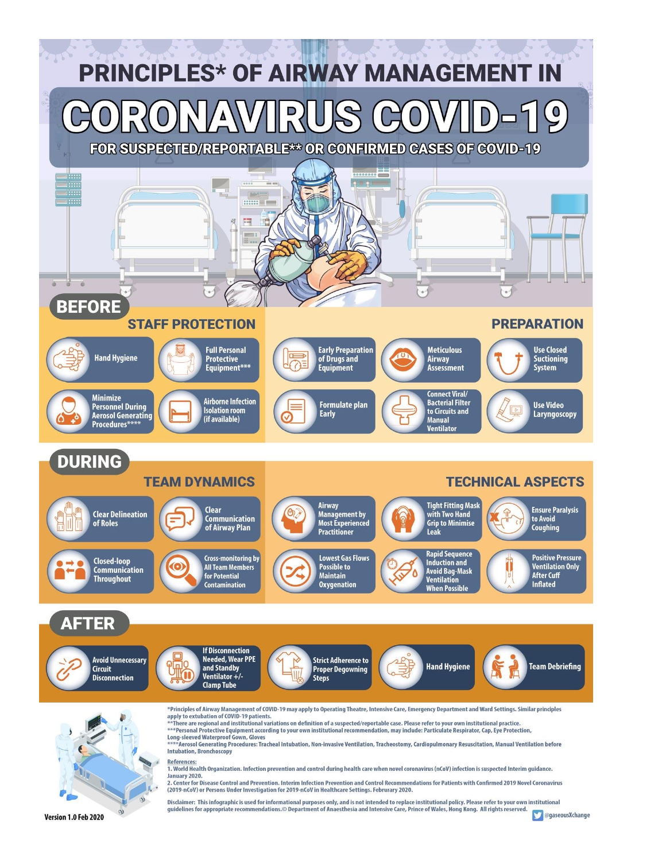

Version 1.0 Feb 2020

**O** @gaseousXchange